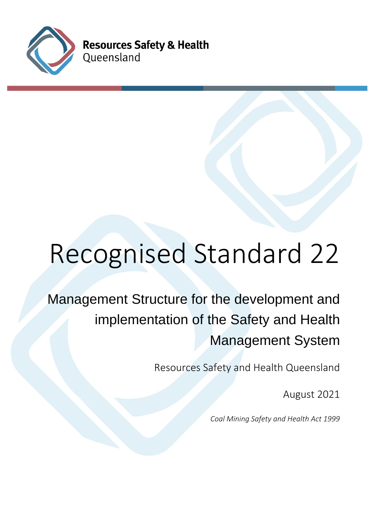

**Resources Safety & Health** Queensland

# Recognised Standard 22

# Management Structure for the development and implementation of the Safety and Health Management System

Resources Safety and Health Queensland

August 2021

*Coal Mining Safety and Health Act 1999*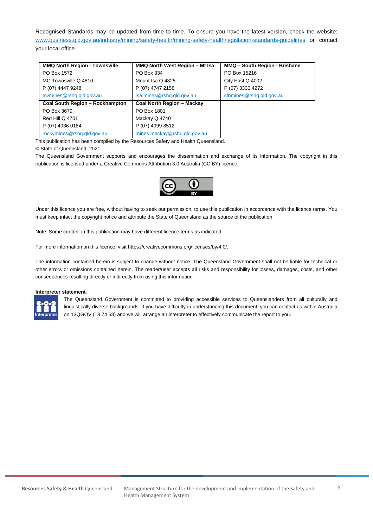Recognised Standards may be updated from time to time. To ensure you have the latest version, check the website: [www.business.qld.gov.au/industry/mining/safety-health/mining-safety-health/legislation-standards-guidelines](http://www.business.qld.gov.au/industry/mining/safety-health/mining-safety-health/legislation-standards-guidelines) or contact your local office.

| <b>MMQ North Region - Townsville</b> | MMQ North West Region - Mt Isa | MMQ - South Region - Brisbane |
|--------------------------------------|--------------------------------|-------------------------------|
| PO Box 1572                          | PO Box 334                     | PO Box 15216                  |
| MC Townsville Q 4810                 | Mount Isa Q 4825               | City East Q 4002              |
| P (07) 4447 9248                     | P (07) 4747 2158               | P (07) 3330 4272              |
| tsymines@rshq.qld.gov.au             | isa.mines@rshq.qld.gov.au      | sthmines@rshq.qld.gov.au      |
| Coal South Region - Rockhampton      | Coal North Region - Mackay     |                               |
| PO Box 3679                          | PO Box 1801                    |                               |
| Red Hill Q 4701                      | Mackay Q 4740                  |                               |
| P (07) 4936 0184                     | P (07) 4999 8512               |                               |
| rockymines@rshq.qld.gov.au           | mines.mackay@rshq.qld.gov.au   |                               |

This publication has been compiled by the Resources Safety and Health Queensland.

© State of Queensland, 2021

The Queensland Government supports and encourages the dissemination and exchange of its information. The copyright in this publication is licensed under a Creative Commons Attribution 3.0 Australia (CC BY) licence.



Under this licence you are free, without having to seek our permission, to use this publication in accordance with the licence terms. You must keep intact the copyright notice and attribute the State of Queensland as the source of the publication.

Note: Some content in this publication may have different licence terms as indicated.

For more information on this licence, visit https://creativecommons.org/licenses/by/4.0/.

The information contained herein is subject to change without notice. The Queensland Government shall not be liable for technical or other errors or omissions contained herein. The reader/user accepts all risks and responsibility for losses, damages, costs, and other consequences resulting directly or indirectly from using this information.

#### **Interpreter statement**:



The Queensland Government is committed to providing accessible services to Queenslanders from all culturally and linguistically diverse backgrounds. If you have difficulty in understanding this document, you can contact us within Australia on 13QGOV (13 74 68) and we will arrange an interpreter to effectively communicate the report to you.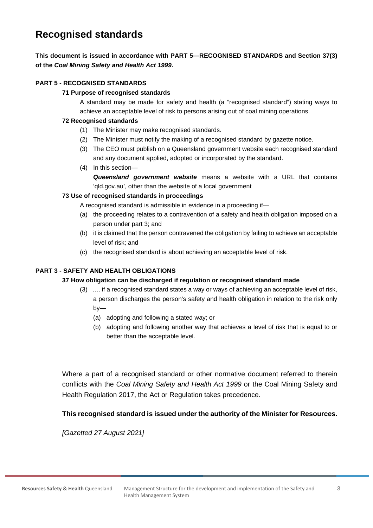## **Recognised standards**

#### **This document is issued in accordance with PART 5—RECOGNISED STANDARDS and Section 37(3) of the** *Coal Mining Safety and Health Act 1999***.**

#### **PART 5 - RECOGNISED STANDARDS**

#### **71 Purpose of recognised standards**

A standard may be made for safety and health (a "recognised standard") stating ways to achieve an acceptable level of risk to persons arising out of coal mining operations.

#### **72 Recognised standards**

- (1) The Minister may make recognised standards.
- (2) The Minister must notify the making of a recognised standard by gazette notice.
- (3) The CEO must publish on a Queensland government website each recognised standard and any document applied, adopted or incorporated by the standard.
- (4) In this section— *Queensland government website* means a website with a URL that contains 'qld.gov.au', other than the website of a local government

#### **73 Use of recognised standards in proceedings**

A recognised standard is admissible in evidence in a proceeding if—

- (a) the proceeding relates to a contravention of a safety and health obligation imposed on a person under part 3; and
- (b) it is claimed that the person contravened the obligation by failing to achieve an acceptable level of risk; and
- (c) the recognised standard is about achieving an acceptable level of risk.

#### **PART 3 - SAFETY AND HEALTH OBLIGATIONS**

#### **37 How obligation can be discharged if regulation or recognised standard made**

- (3) …. if a recognised standard states a way or ways of achieving an acceptable level of risk, a person discharges the person's safety and health obligation in relation to the risk only by—
	- (a) adopting and following a stated way; or
	- (b) adopting and following another way that achieves a level of risk that is equal to or better than the acceptable level.

Where a part of a recognised standard or other normative document referred to therein conflicts with the *Coal Mining Safety and Health Act 1999* or the Coal Mining Safety and Health Regulation 2017, the Act or Regulation takes precedence.

#### **This recognised standard is issued under the authority of the Minister for Resources.**

*[Gazetted 27 August 2021]*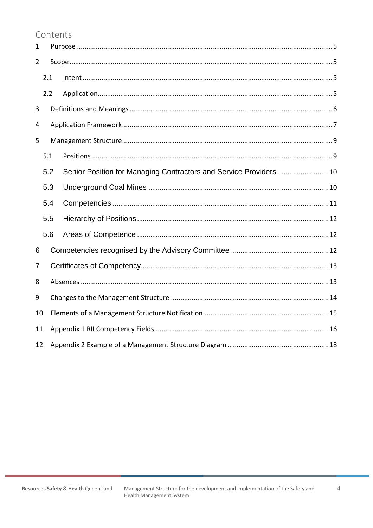## Contents

<span id="page-3-0"></span>

| $\mathbf 1$    |     |  |  |  |
|----------------|-----|--|--|--|
| $\overline{2}$ |     |  |  |  |
|                | 2.1 |  |  |  |
|                | 2.2 |  |  |  |
| 3              |     |  |  |  |
| 4              |     |  |  |  |
| 5              |     |  |  |  |
|                | 5.1 |  |  |  |
|                | 5.2 |  |  |  |
|                | 5.3 |  |  |  |
|                | 5.4 |  |  |  |
|                | 5.5 |  |  |  |
|                | 5.6 |  |  |  |
| 6              |     |  |  |  |
| 7              |     |  |  |  |
| 8              |     |  |  |  |
| 9              |     |  |  |  |
| 10             |     |  |  |  |
| 11             |     |  |  |  |
| 12             |     |  |  |  |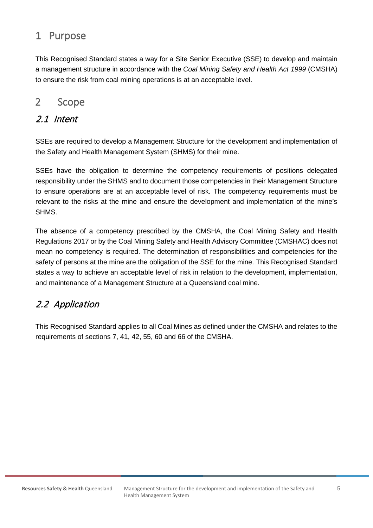# 1 Purpose

This Recognised Standard states a way for a Site Senior Executive (SSE) to develop and maintain a management structure in accordance with the *Coal Mining Safety and Health Act 1999* (CMSHA) to ensure the risk from coal mining operations is at an acceptable level.

## <span id="page-4-0"></span>2 Scope

## <span id="page-4-1"></span>2.1 Intent

SSEs are required to develop a Management Structure for the development and implementation of the Safety and Health Management System (SHMS) for their mine.

SSEs have the obligation to determine the competency requirements of positions delegated responsibility under the SHMS and to document those competencies in their Management Structure to ensure operations are at an acceptable level of risk. The competency requirements must be relevant to the risks at the mine and ensure the development and implementation of the mine's SHMS.

The absence of a competency prescribed by the CMSHA, the Coal Mining Safety and Health Regulations 2017 or by the Coal Mining Safety and Health Advisory Committee (CMSHAC) does not mean no competency is required. The determination of responsibilities and competencies for the safety of persons at the mine are the obligation of the SSE for the mine. This Recognised Standard states a way to achieve an acceptable level of risk in relation to the development, implementation, and maintenance of a Management Structure at a Queensland coal mine.

## <span id="page-4-2"></span>2.2 Application

This Recognised Standard applies to all Coal Mines as defined under the CMSHA and relates to the requirements of sections 7, 41, 42, 55, 60 and 66 of the CMSHA.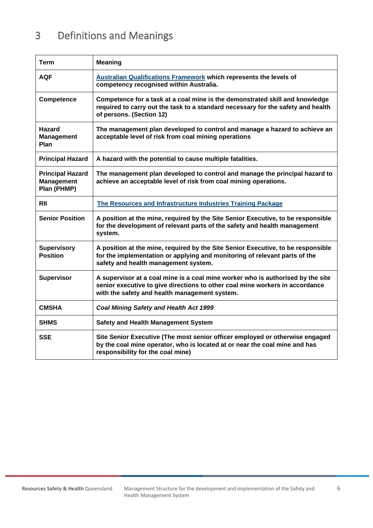# <span id="page-5-0"></span>3 Definitions and Meanings

<span id="page-5-1"></span>

| Term                                                        | <b>Meaning</b>                                                                                                                                                                                                   |
|-------------------------------------------------------------|------------------------------------------------------------------------------------------------------------------------------------------------------------------------------------------------------------------|
| <b>AQF</b>                                                  | <b>Australian Qualifications Framework which represents the levels of</b><br>competency recognised within Australia.                                                                                             |
| Competence                                                  | Competence for a task at a coal mine is the demonstrated skill and knowledge<br>required to carry out the task to a standard necessary for the safety and health<br>of persons. (Section 12)                     |
| <b>Hazard</b><br><b>Management</b><br>Plan                  | The management plan developed to control and manage a hazard to achieve an<br>acceptable level of risk from coal mining operations                                                                               |
| <b>Principal Hazard</b>                                     | A hazard with the potential to cause multiple fatalities.                                                                                                                                                        |
| <b>Principal Hazard</b><br><b>Management</b><br>Plan (PHMP) | The management plan developed to control and manage the principal hazard to<br>achieve an acceptable level of risk from coal mining operations.                                                                  |
| RII                                                         | The Resources and Infrastructure Industries Training Package                                                                                                                                                     |
| <b>Senior Position</b>                                      | A position at the mine, required by the Site Senior Executive, to be responsible<br>for the development of relevant parts of the safety and health management<br>system.                                         |
| <b>Supervisory</b><br><b>Position</b>                       | A position at the mine, required by the Site Senior Executive, to be responsible<br>for the implementation or applying and monitoring of relevant parts of the<br>safety and health management system.           |
| <b>Supervisor</b>                                           | A supervisor at a coal mine is a coal mine worker who is authorised by the site<br>senior executive to give directions to other coal mine workers in accordance<br>with the safety and health management system. |
| <b>CMSHA</b>                                                | <b>Coal Mining Safety and Health Act 1999</b>                                                                                                                                                                    |
| <b>SHMS</b>                                                 | <b>Safety and Health Management System</b>                                                                                                                                                                       |
| <b>SSE</b>                                                  | Site Senior Executive (The most senior officer employed or otherwise engaged<br>by the coal mine operator, who is located at or near the coal mine and has<br>responsibility for the coal mine)                  |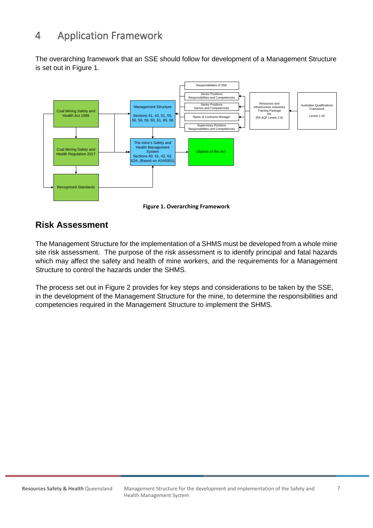# 4 Application Framework

The overarching framework that an SSE should follow for development of a Management Structure is set out in Figure 1.



**Figure 1. Overarching Framework**

## **Risk Assessment**

The Management Structure for the implementation of a SHMS must be developed from a whole mine site risk assessment. The purpose of the risk assessment is to identify principal and fatal hazards which may affect the safety and health of mine workers, and the requirements for a Management Structure to control the hazards under the SHMS.

The process set out in Figure 2 provides for key steps and considerations to be taken by the SSE, in the development of the Management Structure for the mine, to determine the responsibilities and competencies required in the Management Structure to implement the SHMS.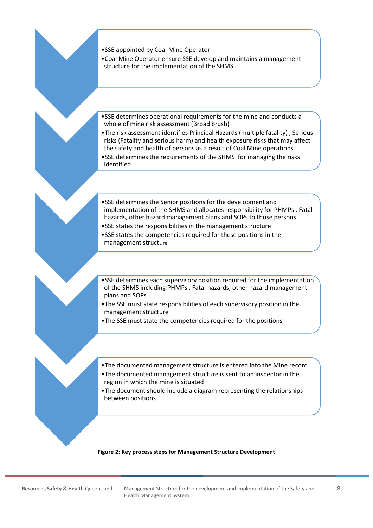- •SSE appointed by Coal Mine Operator
- •Coal Mine Operator ensure SSE develop and maintains a management structure for the implementation of the SHMS
- •SSE determines operational requirements for the mine and conducts a whole of mine risk assessment (Broad brush)
- •The risk assessment identifies Principal Hazards (multiple fatality) , Serious risks (Fatality and serious harm) and health exposure risks that may affect the safety and health of persons as a result of Coal Mine operations
- •SSE determines the requirements of the SHMS for managing the risks identified
- •SSE determines the Senior positions for the development and implementation of the SHMS and allocates responsibility for PHMPs , Fatal hazards, other hazard management plans and SOPs to those persons
- •SSE states the responsibilities in the management structure
- •SSE states the competencies required for these positions in the management structure
- •SSE determines each supervisory position required for the implementation of the SHMS including PHMPs , Fatal hazards, other hazard management plans and SOPs
- •The SSE must state responsibilities of each supervisory position in the management structure
- •The SSE must state the competencies required for the positions
- •The documented management structure is entered into the Mine record
- •The documented management structure is sent to an inspector in the region in which the mine is situated
- •The document should include a diagram representing the relationships between positions

#### **Figure 2: Key process steps for Management Structure Development**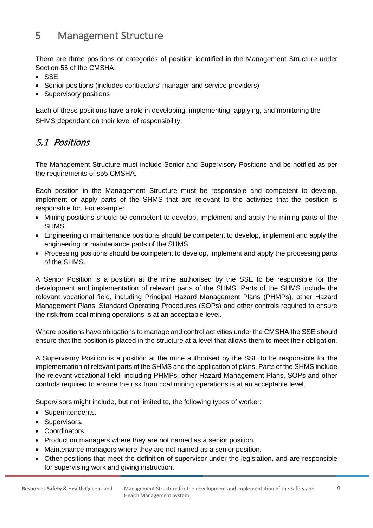# <span id="page-8-0"></span>5 Management Structure

There are three positions or categories of position identified in the Management Structure under Section 55 of the CMSHA:

- SSE
- Senior positions (includes contractors' manager and service providers)
- Supervisory positions

Each of these positions have a role in developing, implementing, applying, and monitoring the SHMS dependant on their level of responsibility.

## <span id="page-8-1"></span>5.1 Positions

The Management Structure must include Senior and Supervisory Positions and be notified as per the requirements of s55 CMSHA.

Each position in the Management Structure must be responsible and competent to develop, implement or apply parts of the SHMS that are relevant to the activities that the position is responsible for. For example:

- Mining positions should be competent to develop, implement and apply the mining parts of the SHMS.
- Engineering or maintenance positions should be competent to develop, implement and apply the engineering or maintenance parts of the SHMS.
- Processing positions should be competent to develop, implement and apply the processing parts of the SHMS.

A Senior Position is a position at the mine authorised by the SSE to be responsible for the development and implementation of relevant parts of the SHMS. Parts of the SHMS include the relevant vocational field, including Principal Hazard Management Plans (PHMPs), other Hazard Management Plans, Standard Operating Procedures (SOPs) and other controls required to ensure the risk from coal mining operations is at an acceptable level.

Where positions have obligations to manage and control activities under the CMSHA the SSE should ensure that the position is placed in the structure at a level that allows them to meet their obligation.

A Supervisory Position is a position at the mine authorised by the SSE to be responsible for the implementation of relevant parts of the SHMS and the application of plans. Parts of the SHMS include the relevant vocational field, including PHMPs, other Hazard Management Plans, SOPs and other controls required to ensure the risk from coal mining operations is at an acceptable level.

Supervisors might include, but not limited to, the following types of worker:

- Superintendents.
- Supervisors.
- Coordinators.
- Production managers where they are not named as a senior position.
- Maintenance managers where they are not named as a senior position.
- Other positions that meet the definition of supervisor under the legislation, and are responsible for supervising work and giving instruction.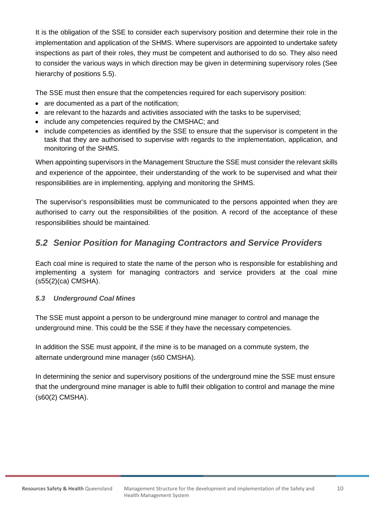It is the obligation of the SSE to consider each supervisory position and determine their role in the implementation and application of the SHMS. Where supervisors are appointed to undertake safety inspections as part of their roles, they must be competent and authorised to do so. They also need to consider the various ways in which direction may be given in determining supervisory roles (See hierarchy of positions 5.5).

The SSE must then ensure that the competencies required for each supervisory position:

- are documented as a part of the notification;
- are relevant to the hazards and activities associated with the tasks to be supervised;
- include any competencies required by the CMSHAC; and
- include competencies as identified by the SSE to ensure that the supervisor is competent in the task that they are authorised to supervise with regards to the implementation, application, and monitoring of the SHMS.

When appointing supervisors in the Management Structure the SSE must consider the relevant skills and experience of the appointee, their understanding of the work to be supervised and what their responsibilities are in implementing, applying and monitoring the SHMS.

The supervisor's responsibilities must be communicated to the persons appointed when they are authorised to carry out the responsibilities of the position. A record of the acceptance of these responsibilities should be maintained.

## <span id="page-9-0"></span>*5.2 Senior Position for Managing Contractors and Service Providers*

Each coal mine is required to state the name of the person who is responsible for establishing and implementing a system for managing contractors and service providers at the coal mine (s55(2)(ca) CMSHA).

#### <span id="page-9-1"></span>*5.3 Underground Coal Mines*

The SSE must appoint a person to be underground mine manager to control and manage the underground mine. This could be the SSE if they have the necessary competencies.

In addition the SSE must appoint, if the mine is to be managed on a commute system, the alternate underground mine manager (s60 CMSHA).

<span id="page-9-2"></span>In determining the senior and supervisory positions of the underground mine the SSE must ensure that the underground mine manager is able to fulfil their obligation to control and manage the mine (s60(2) CMSHA).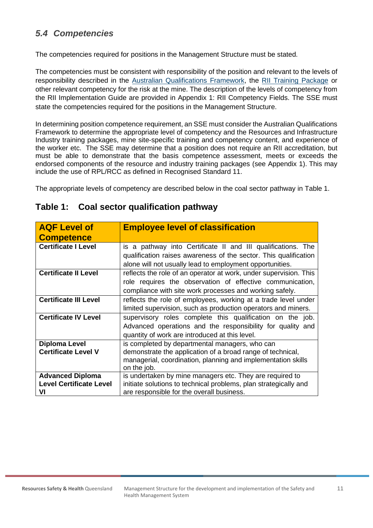## *5.4 Competencies*

The competencies required for positions in the Management Structure must be stated.

The competencies must be consistent with responsibility of the position and relevant to the levels of responsibility described in the [Australian Qualifications Framework,](https://www.aqf.edu.au/) the [RII Training Package](https://vetnet.gov.au/Pages/TrainingDocs.aspx?q=88a61002-9a21-4386-aaf8-69c76e675272) or other relevant competency for the risk at the mine. The description of the levels of competency from the RII Implementation Guide are provided in Appendix 1: RII Competency Fields. The SSE must state the competencies required for the positions in the Management Structure.

In determining position competence requirement, an SSE must consider the Australian Qualifications Framework to determine the appropriate level of competency and the Resources and Infrastructure Industry training packages, mine site-specific training and competency content, and experience of the worker etc. The SSE may determine that a position does not require an RII accreditation, but must be able to demonstrate that the basis competence assessment, meets or exceeds the endorsed components of the resource and industry training packages (see Appendix 1). This may include the use of RPL/RCC as defined in Recognised Standard 11.

The appropriate levels of competency are described below in the coal sector pathway in Table 1.

<span id="page-10-0"></span>

| <b>AQF Level of</b>                                             | <b>Employee level of classification</b>                                                                                                                                                      |  |
|-----------------------------------------------------------------|----------------------------------------------------------------------------------------------------------------------------------------------------------------------------------------------|--|
| <b>Competence</b>                                               |                                                                                                                                                                                              |  |
| <b>Certificate I Level</b>                                      | is a pathway into Certificate II and III qualifications. The<br>qualification raises awareness of the sector. This qualification<br>alone will not usually lead to employment opportunities. |  |
| <b>Certificate II Level</b>                                     | reflects the role of an operator at work, under supervision. This<br>role requires the observation of effective communication,<br>compliance with site work processes and working safely.    |  |
| <b>Certificate III Level</b>                                    | reflects the role of employees, working at a trade level under<br>limited supervision, such as production operators and miners.                                                              |  |
| <b>Certificate IV Level</b>                                     | supervisory roles complete this qualification on the job.<br>Advanced operations and the responsibility for quality and<br>quantity of work are introduced at this level.                    |  |
| Diploma Level<br><b>Certificate Level V</b>                     | is completed by departmental managers, who can<br>demonstrate the application of a broad range of technical,<br>managerial, coordination, planning and implementation skills<br>on the job.  |  |
| <b>Advanced Diploma</b><br><b>Level Certificate Level</b><br>vı | is undertaken by mine managers etc. They are required to<br>initiate solutions to technical problems, plan strategically and<br>are responsible for the overall business.                    |  |

### **Table 1: Coal sector qualification pathway**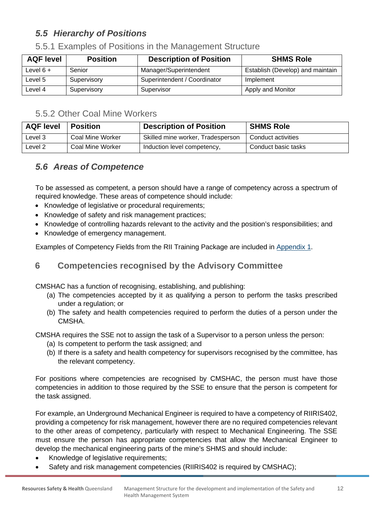## *5.5 Hierarchy of Positions*

| <b>AQF level</b> | <b>Position</b> | <b>Description of Position</b> | <b>SHMS Role</b>                 |
|------------------|-----------------|--------------------------------|----------------------------------|
| Level $6 +$      | Senior          | Manager/Superintendent         | Establish (Develop) and maintain |
| Level 5          | Supervisory     | Superintendent / Coordinator   | Implement                        |
| Level 4          | Supervisory     | Supervisor                     | Apply and Monitor                |

### 5.5.1 Examples of Positions in the Management Structure

## 5.5.2 Other Coal Mine Workers

| <b>AQF level</b>   | <b>Position</b>  | <b>Description of Position</b>    | <b>SHMS Role</b>    |
|--------------------|------------------|-----------------------------------|---------------------|
| Level <sub>3</sub> | Coal Mine Worker | Skilled mine worker, Tradesperson | Conduct activities  |
| Level 2            | Coal Mine Worker | Induction level competency,       | Conduct basic tasks |

## <span id="page-11-0"></span>*5.6 Areas of Competence*

To be assessed as competent, a person should have a range of competency across a spectrum of required knowledge. These areas of competence should include:

- Knowledge of legislative or procedural requirements:
- Knowledge of safety and risk management practices;
- Knowledge of controlling hazards relevant to the activity and the position's responsibilities; and
- Knowledge of emergency management.

Examples of Competency Fields from the RII Training Package are included in [Appendix 1.](#page-13-1)

## <span id="page-11-1"></span>**6 Competencies recognised by the Advisory Committee**

CMSHAC has a function of recognising, establishing, and publishing:

- (a) The competencies accepted by it as qualifying a person to perform the tasks prescribed under a regulation; or
- (b) The safety and health competencies required to perform the duties of a person under the **CMSHA**

CMSHA requires the SSE not to assign the task of a Supervisor to a person unless the person:

- (a) Is competent to perform the task assigned; and
- (b) If there is a safety and health competency for supervisors recognised by the committee, has the relevant competency.

For positions where competencies are recognised by CMSHAC, the person must have those competencies in addition to those required by the SSE to ensure that the person is competent for the task assigned.

For example, an Underground Mechanical Engineer is required to have a competency of RIIRIS402, providing a competency for risk management, however there are no required competencies relevant to the other areas of competency, particularly with respect to Mechanical Engineering. The SSE must ensure the person has appropriate competencies that allow the Mechanical Engineer to develop the mechanical engineering parts of the mine's SHMS and should include:

- Knowledge of legislative requirements;
- Safety and risk management competencies (RIIRIS402 is required by CMSHAC);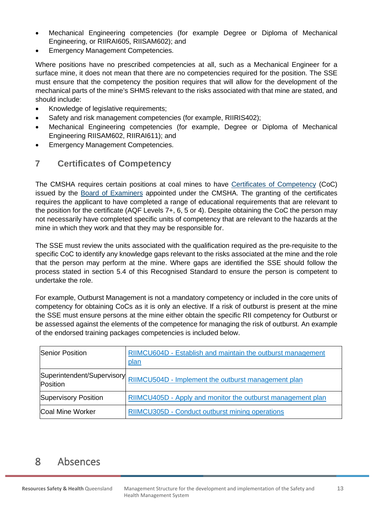- Mechanical Engineering competencies (for example Degree or Diploma of Mechanical Engineering, or RIIRAI605, RIISAM602); and
- Emergency Management Competencies.

Where positions have no prescribed competencies at all, such as a Mechanical Engineer for a surface mine, it does not mean that there are no competencies required for the position. The SSE must ensure that the competency the position requires that will allow for the development of the mechanical parts of the mine's SHMS relevant to the risks associated with that mine are stated, and should include:

- Knowledge of legislative requirements;
- Safety and risk management competencies (for example, RIIRIS402);
- Mechanical Engineering competencies (for example, Degree or Diploma of Mechanical Engineering RIISAM602, RIIRAI611); and
- Emergency Management Competencies.

#### <span id="page-12-0"></span>**7 Certificates of Competency**

The CMSHA requires certain positions at coal mines to have [Certificates of Competency](https://www.business.qld.gov.au/industries/mining-energy-water/resources/safety-health/mining/competencies-certificates/coal) (CoC) issued by the [Board of Examiners](https://www.business.qld.gov.au/industries/mining-energy-water/resources/safety-health/mining/legislation-standards/board-examiners) appointed under the CMSHA. The granting of the certificates requires the applicant to have completed a range of educational requirements that are relevant to the position for the certificate (AQF Levels 7+, 6, 5 or 4). Despite obtaining the CoC the person may not necessarily have completed specific units of competency that are relevant to the hazards at the mine in which they work and that they may be responsible for.

The SSE must review the units associated with the qualification required as the pre-requisite to the specific CoC to identify any knowledge gaps relevant to the risks associated at the mine and the role that the person may perform at the mine. Where gaps are identified the SSE should follow the process stated in section 5.4 of this Recognised Standard to ensure the person is competent to undertake the role.

For example, Outburst Management is not a mandatory competency or included in the core units of competency for obtaining CoCs as it is only an elective. If a risk of outburst is present at the mine the SSE must ensure persons at the mine either obtain the specific RII competency for Outburst or be assessed against the elements of the competence for managing the risk of outburst. An example of the endorsed training packages competencies is included below.

| <b>Senior Position</b>                 | RIIMCU604D - Establish and maintain the outburst management<br><u>plan</u> |  |
|----------------------------------------|----------------------------------------------------------------------------|--|
| Superintendent/Supervisory<br>Position | RIIMCU504D - Implement the outburst management plan                        |  |
| Supervisory Position                   | RIIMCU405D - Apply and monitor the outburst management plan                |  |
| Coal Mine Worker                       | RIIMCU305D - Conduct outburst mining operations                            |  |

## <span id="page-12-1"></span>8 Absences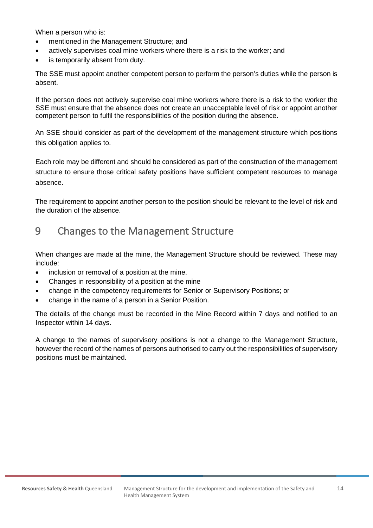When a person who is:

- mentioned in the Management Structure; and
- actively supervises coal mine workers where there is a risk to the worker; and
- is temporarily absent from duty.

The SSE must appoint another competent person to perform the person's duties while the person is absent.

If the person does not actively supervise coal mine workers where there is a risk to the worker the SSE must ensure that the absence does not create an unacceptable level of risk or appoint another competent person to fulfil the responsibilities of the position during the absence.

An SSE should consider as part of the development of the management structure which positions this obligation applies to.

Each role may be different and should be considered as part of the construction of the management structure to ensure those critical safety positions have sufficient competent resources to manage absence.

The requirement to appoint another person to the position should be relevant to the level of risk and the duration of the absence.

## <span id="page-13-0"></span>9 Changes to the Management Structure

When changes are made at the mine, the Management Structure should be reviewed. These may include:

- inclusion or removal of a position at the mine.
- Changes in responsibility of a position at the mine
- change in the competency requirements for Senior or Supervisory Positions; or
- change in the name of a person in a Senior Position.

The details of the change must be recorded in the Mine Record within 7 days and notified to an Inspector within 14 days.

<span id="page-13-1"></span>A change to the names of supervisory positions is not a change to the Management Structure, however the record of the names of persons authorised to carry out the responsibilities of supervisory positions must be maintained.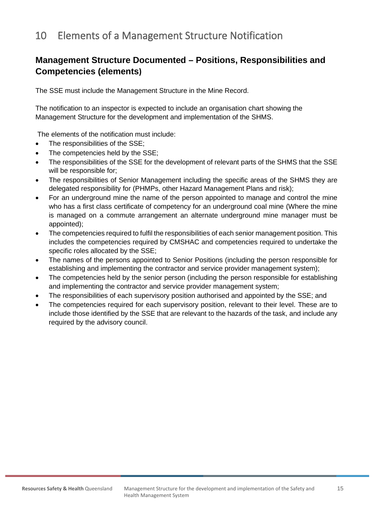# 10 Elements of a Management Structure Notification

## **Management Structure Documented – Positions, Responsibilities and Competencies (elements)**

The SSE must include the Management Structure in the Mine Record.

The notification to an inspector is expected to include an organisation chart showing the Management Structure for the development and implementation of the SHMS.

The elements of the notification must include:

- The responsibilities of the SSE;
- The competencies held by the SSE;
- The responsibilities of the SSE for the development of relevant parts of the SHMS that the SSE will be responsible for;
- The responsibilities of Senior Management including the specific areas of the SHMS they are delegated responsibility for (PHMPs, other Hazard Management Plans and risk);
- For an underground mine the name of the person appointed to manage and control the mine who has a first class certificate of competency for an underground coal mine (Where the mine is managed on a commute arrangement an alternate underground mine manager must be appointed);
- The competencies required to fulfil the responsibilities of each senior management position. This includes the competencies required by CMSHAC and competencies required to undertake the specific roles allocated by the SSE;
- The names of the persons appointed to Senior Positions (including the person responsible for establishing and implementing the contractor and service provider management system);
- The competencies held by the senior person (including the person responsible for establishing and implementing the contractor and service provider management system;
- The responsibilities of each supervisory position authorised and appointed by the SSE; and
- The competencies required for each supervisory position, relevant to their level. These are to include those identified by the SSE that are relevant to the hazards of the task, and include any required by the advisory council.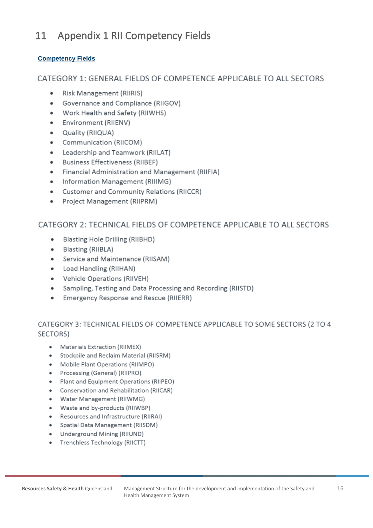#### <span id="page-15-0"></span>**Appendix 1 RII Competency Fields**  $11$

#### **Competency Fields**

#### CATEGORY 1: GENERAL FIELDS OF COMPETENCE APPLICABLE TO ALL SECTORS

- **Risk Management (RIIRIS)**  $\bullet$
- Governance and Compliance (RIIGOV)  $\bullet$
- Work Health and Safety (RIIWHS)  $\bullet$
- Environment (RIIENV)  $\bullet$
- Quality (RIIQUA)  $\bullet$
- Communication (RIICOM)  $\bullet$
- Leadership and Teamwork (RIILAT)  $\bullet$
- Business Effectiveness (RIIBEF)  $\bullet$
- Financial Administration and Management (RIIFIA)  $\bullet$
- Information Management (RIIIMG)  $\bullet$
- Customer and Community Relations (RIICCR)  $\bullet$
- Project Management (RIIPRM)  $\bullet$

#### CATEGORY 2: TECHNICAL FIELDS OF COMPETENCE APPLICABLE TO ALL SECTORS

- $\bullet$ Blasting Hole Drilling (RIIBHD)
- $\bullet$ Blasting (RIIBLA)
- Service and Maintenance (RIISAM)  $\bullet$
- Load Handling (RIIHAN)  $\bullet$
- **Vehicle Operations (RIIVEH)**  $\bullet$
- Sampling, Testing and Data Processing and Recording (RIISTD)
- Emergency Response and Rescue (RIIERR)  $\bullet$

### CATEGORY 3: TECHNICAL FIELDS OF COMPETENCE APPLICABLE TO SOME SECTORS (2 TO 4 SECTORS)

- Materials Extraction (RIIMEX)
- Stockpile and Reclaim Material (RIISRM)
- Mobile Plant Operations (RIIMPO)
- Processing (General) (RIIPRO)
- Plant and Equipment Operations (RIIPEO)  $\bullet$
- Conservation and Rehabilitation (RIICAR)
- $\bullet$ Water Management (RIIWMG)
- Waste and by-products (RIIWBP)
- Resources and Infrastructure (RIIRAI)  $\bullet$
- Spatial Data Management (RIISDM)  $\bullet$
- Underground Mining (RIIUND)
- Trenchless Technology (RIICTT)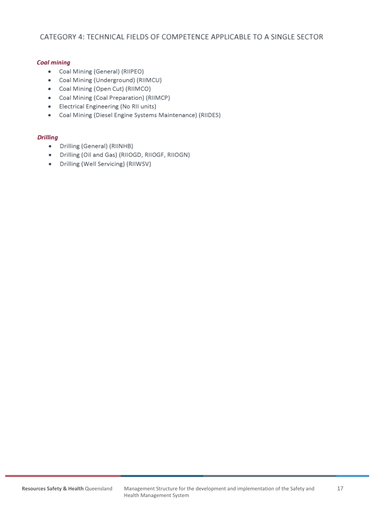#### CATEGORY 4: TECHNICAL FIELDS OF COMPETENCE APPLICABLE TO A SINGLE SECTOR

#### **Coal mining**

- Coal Mining (General) (RIIPEO)
- Coal Mining (Underground) (RIIMCU)
- Coal Mining (Open Cut) (RIIMCO)
- Coal Mining (Coal Preparation) (RIIMCP)
- Electrical Engineering (No RII units)
- Coal Mining (Diesel Engine Systems Maintenance) (RIIDES)

#### **Drilling**

- Drilling (General) (RIINHB)  $\bullet$
- · Drilling (Oil and Gas) (RIIOGD, RIIOGF, RIIOGN)
- Drilling (Well Servicing) (RIIWSV)